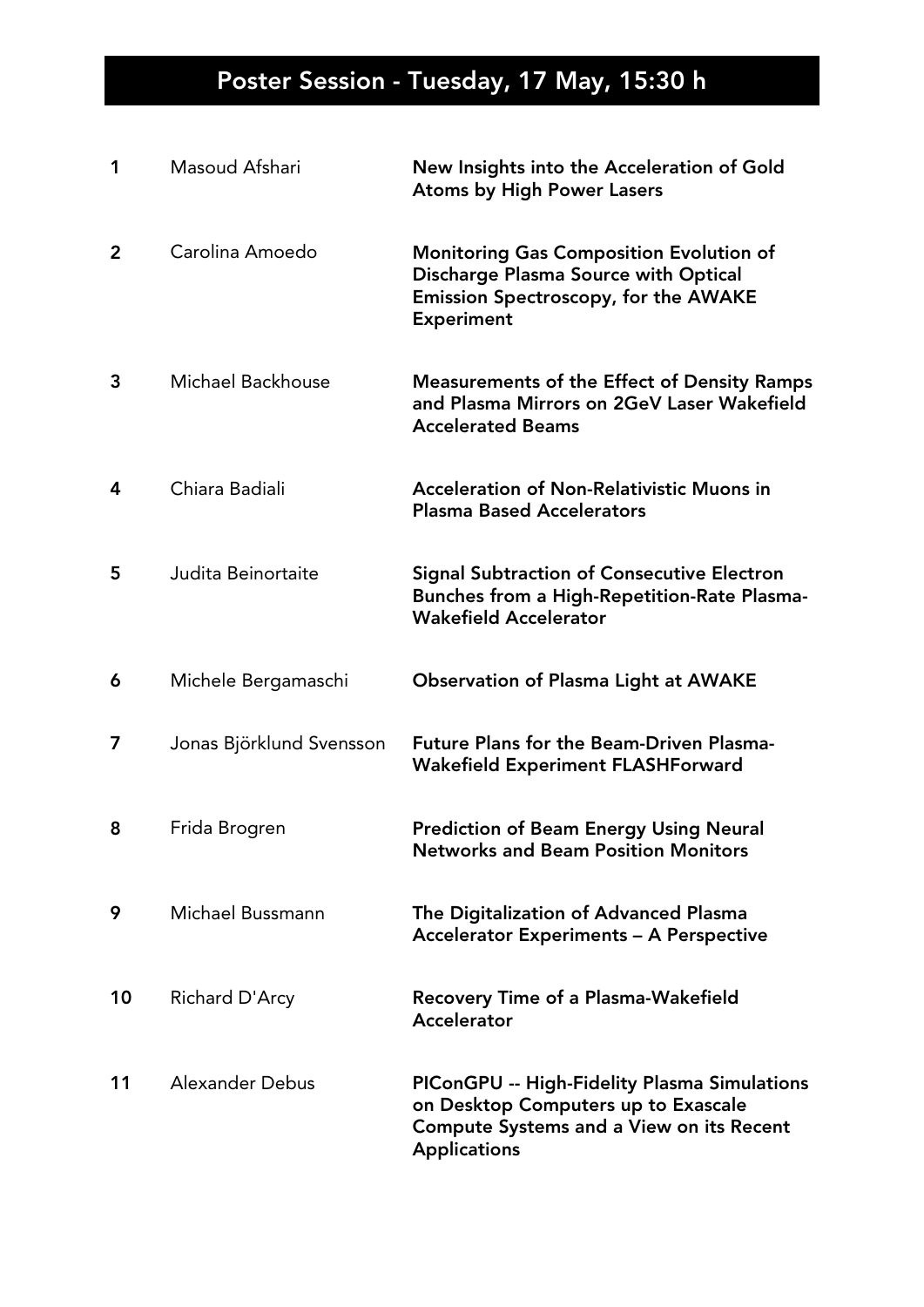| 1              | Masoud Afshari           | New Insights into the Acceleration of Gold<br><b>Atoms by High Power Lasers</b>                                                                               |
|----------------|--------------------------|---------------------------------------------------------------------------------------------------------------------------------------------------------------|
| $\overline{2}$ | Carolina Amoedo          | <b>Monitoring Gas Composition Evolution of</b><br>Discharge Plasma Source with Optical<br><b>Emission Spectroscopy, for the AWAKE</b><br><b>Experiment</b>    |
| 3              | Michael Backhouse        | <b>Measurements of the Effect of Density Ramps</b><br>and Plasma Mirrors on 2GeV Laser Wakefield<br><b>Accelerated Beams</b>                                  |
| 4              | Chiara Badiali           | <b>Acceleration of Non-Relativistic Muons in</b><br><b>Plasma Based Accelerators</b>                                                                          |
| 5              | Judita Beinortaite       | <b>Signal Subtraction of Consecutive Electron</b><br>Bunches from a High-Repetition-Rate Plasma-<br><b>Wakefield Accelerator</b>                              |
| 6              | Michele Bergamaschi      | <b>Observation of Plasma Light at AWAKE</b>                                                                                                                   |
| 7              | Jonas Björklund Svensson | <b>Future Plans for the Beam-Driven Plasma-</b><br><b>Wakefield Experiment FLASHForward</b>                                                                   |
| 8              | Frida Brogren            | <b>Prediction of Beam Energy Using Neural</b><br><b>Networks and Beam Position Monitors</b>                                                                   |
| 9              | Michael Bussmann         | The Digitalization of Advanced Plasma<br><b>Accelerator Experiments - A Perspective</b>                                                                       |
| 10             | Richard D'Arcy           | <b>Recovery Time of a Plasma-Wakefield</b><br>Accelerator                                                                                                     |
| 11             | Alexander Debus          | PIConGPU -- High-Fidelity Plasma Simulations<br>on Desktop Computers up to Exascale<br><b>Compute Systems and a View on its Recent</b><br><b>Applications</b> |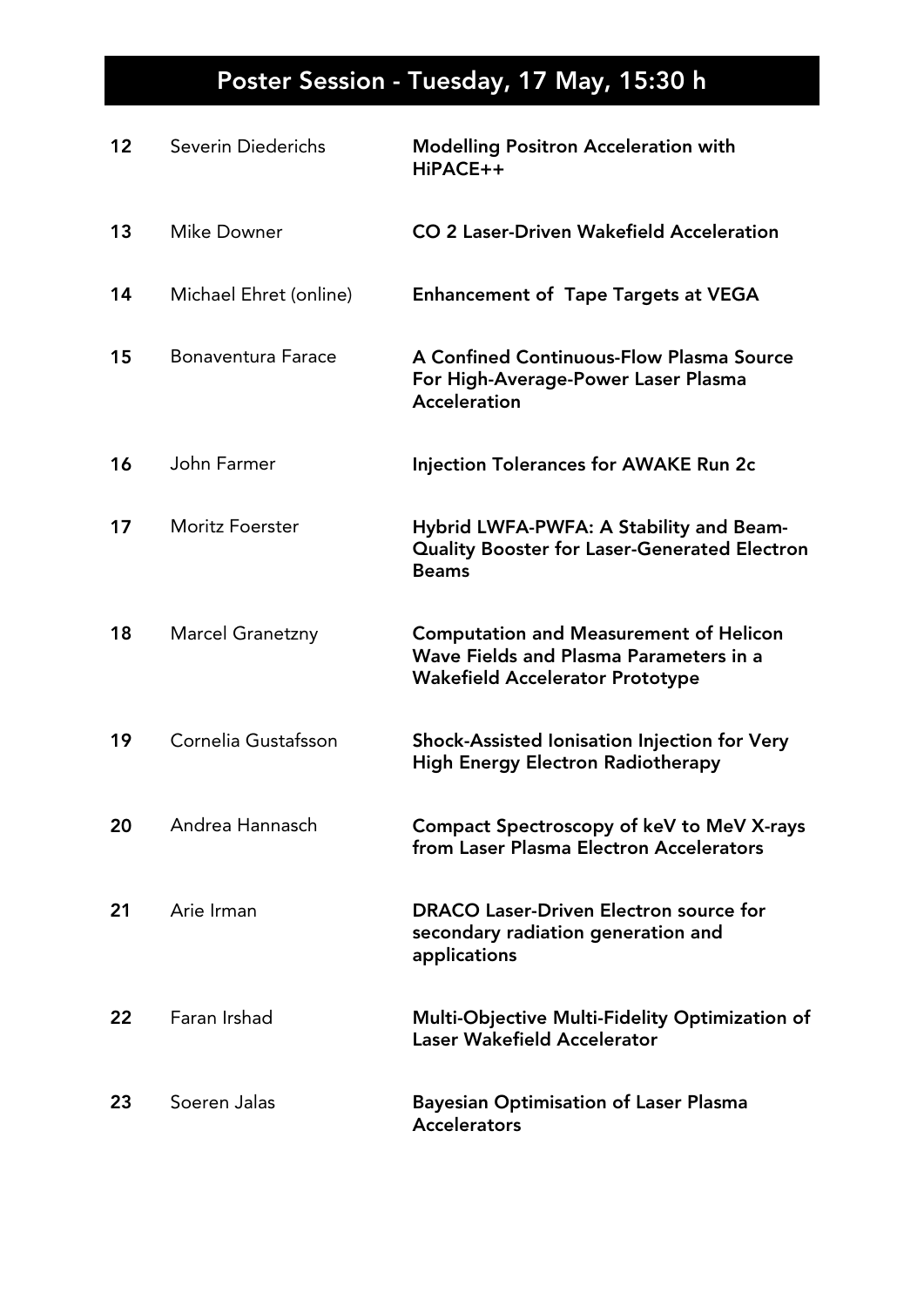| 12 | Severin Diederichs        | <b>Modelling Positron Acceleration with</b><br>HiPACE++                                                                           |
|----|---------------------------|-----------------------------------------------------------------------------------------------------------------------------------|
| 13 | <b>Mike Downer</b>        | CO 2 Laser-Driven Wakefield Acceleration                                                                                          |
| 14 | Michael Ehret (online)    | <b>Enhancement of Tape Targets at VEGA</b>                                                                                        |
| 15 | <b>Bonaventura Farace</b> | A Confined Continuous-Flow Plasma Source<br>For High-Average-Power Laser Plasma<br><b>Acceleration</b>                            |
| 16 | John Farmer               | <b>Injection Tolerances for AWAKE Run 2c</b>                                                                                      |
| 17 | <b>Moritz Foerster</b>    | Hybrid LWFA-PWFA: A Stability and Beam-<br><b>Quality Booster for Laser-Generated Electron</b><br><b>Beams</b>                    |
| 18 | <b>Marcel Granetzny</b>   | <b>Computation and Measurement of Helicon</b><br>Wave Fields and Plasma Parameters in a<br><b>Wakefield Accelerator Prototype</b> |
| 19 | Cornelia Gustafsson       | Shock-Assisted Ionisation Injection for Very<br><b>High Energy Electron Radiotherapy</b>                                          |
| 20 | Andrea Hannasch           | Compact Spectroscopy of keV to MeV X-rays<br>from Laser Plasma Electron Accelerators                                              |
| 21 | Arie Irman                | <b>DRACO Laser-Driven Electron source for</b><br>secondary radiation generation and<br>applications                               |
| 22 | Faran Irshad              | Multi-Objective Multi-Fidelity Optimization of<br><b>Laser Wakefield Accelerator</b>                                              |
| 23 | Soeren Jalas              | <b>Bayesian Optimisation of Laser Plasma</b><br><b>Accelerators</b>                                                               |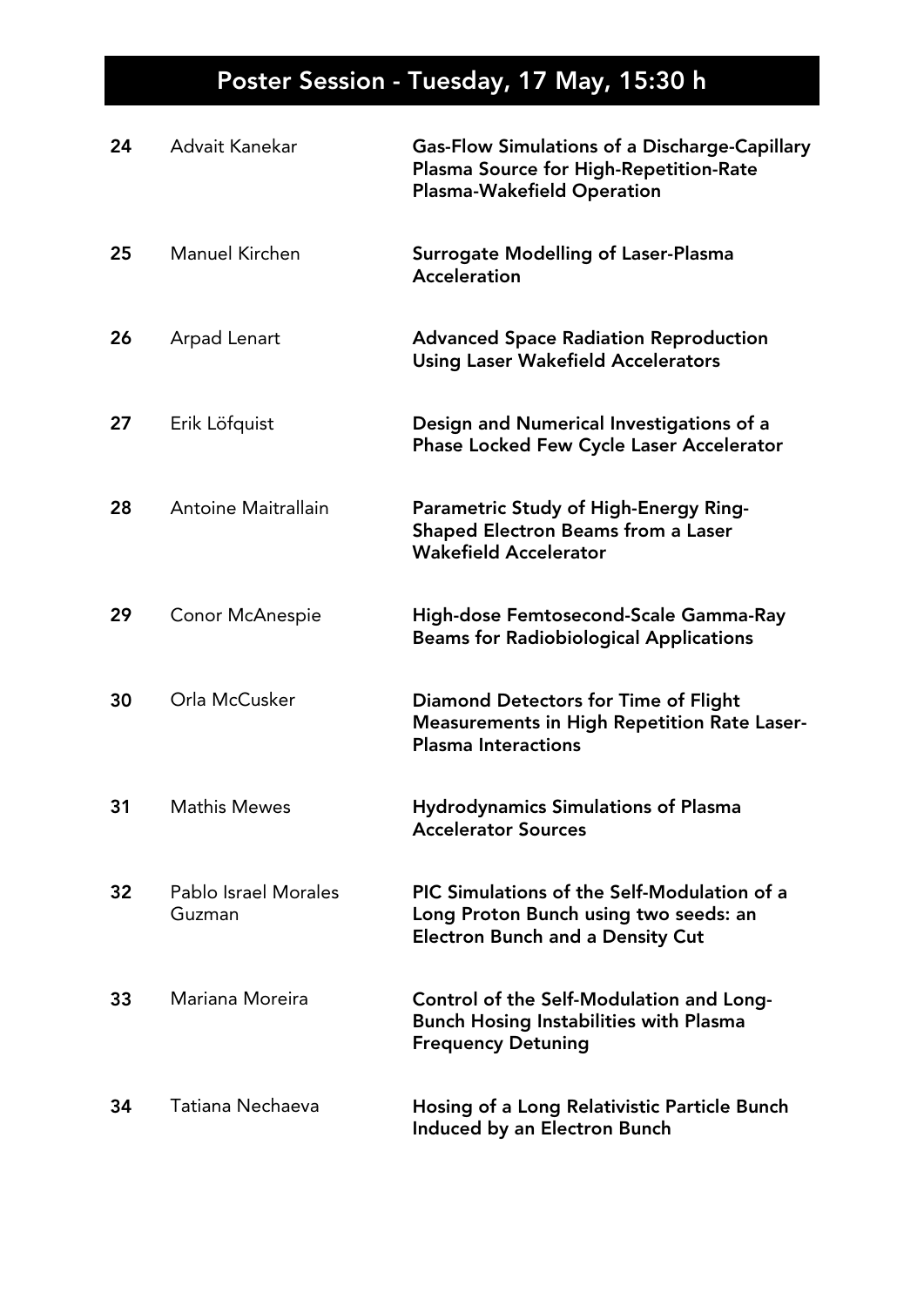| 24 | Advait Kanekar                 | <b>Gas-Flow Simulations of a Discharge-Capillary</b><br>Plasma Source for High-Repetition-Rate<br><b>Plasma-Wakefield Operation</b> |
|----|--------------------------------|-------------------------------------------------------------------------------------------------------------------------------------|
| 25 | Manuel Kirchen                 | Surrogate Modelling of Laser-Plasma<br><b>Acceleration</b>                                                                          |
| 26 | Arpad Lenart                   | <b>Advanced Space Radiation Reproduction</b><br><b>Using Laser Wakefield Accelerators</b>                                           |
| 27 | Erik Löfquist                  | Design and Numerical Investigations of a<br><b>Phase Locked Few Cycle Laser Accelerator</b>                                         |
| 28 | Antoine Maitrallain            | Parametric Study of High-Energy Ring-<br>Shaped Electron Beams from a Laser<br><b>Wakefield Accelerator</b>                         |
| 29 | <b>Conor McAnespie</b>         | High-dose Femtosecond-Scale Gamma-Ray<br><b>Beams for Radiobiological Applications</b>                                              |
| 30 | Orla McCusker                  | Diamond Detectors for Time of Flight<br><b>Measurements in High Repetition Rate Laser-</b><br><b>Plasma Interactions</b>            |
| 31 | <b>Mathis Mewes</b>            | <b>Hydrodynamics Simulations of Plasma</b><br><b>Accelerator Sources</b>                                                            |
| 32 | Pablo Israel Morales<br>Guzman | PIC Simulations of the Self-Modulation of a<br>Long Proton Bunch using two seeds: an<br><b>Electron Bunch and a Density Cut</b>     |
| 33 | Mariana Moreira                | Control of the Self-Modulation and Long-<br><b>Bunch Hosing Instabilities with Plasma</b><br><b>Frequency Detuning</b>              |
| 34 | Tatiana Nechaeva               | Hosing of a Long Relativistic Particle Bunch<br>Induced by an Electron Bunch                                                        |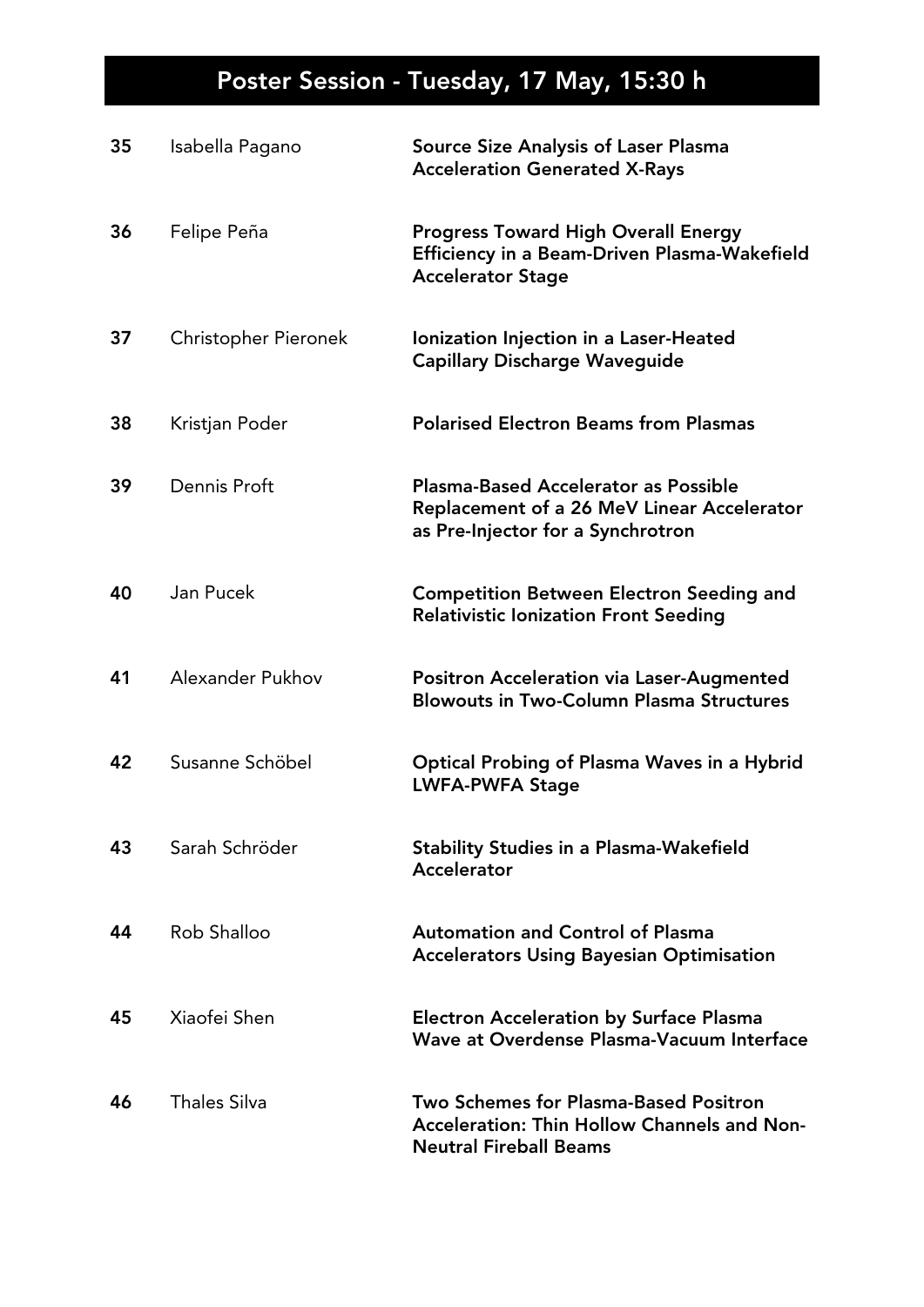| 35 | Isabella Pagano      | <b>Source Size Analysis of Laser Plasma</b><br><b>Acceleration Generated X-Rays</b>                                                   |
|----|----------------------|---------------------------------------------------------------------------------------------------------------------------------------|
| 36 | Felipe Peña          | <b>Progress Toward High Overall Energy</b><br>Efficiency in a Beam-Driven Plasma-Wakefield<br><b>Accelerator Stage</b>                |
| 37 | Christopher Pieronek | Ionization Injection in a Laser-Heated<br><b>Capillary Discharge Waveguide</b>                                                        |
| 38 | Kristjan Poder       | <b>Polarised Electron Beams from Plasmas</b>                                                                                          |
| 39 | Dennis Proft         | <b>Plasma-Based Accelerator as Possible</b><br><b>Replacement of a 26 MeV Linear Accelerator</b><br>as Pre-Injector for a Synchrotron |
| 40 | Jan Pucek            | <b>Competition Between Electron Seeding and</b><br><b>Relativistic Ionization Front Seeding</b>                                       |
| 41 | Alexander Pukhov     | Positron Acceleration via Laser-Augmented<br><b>Blowouts in Two-Column Plasma Structures</b>                                          |
| 42 | Susanne Schöbel      | <b>Optical Probing of Plasma Waves in a Hybrid</b><br><b>LWFA-PWFA Stage</b>                                                          |
| 43 | Sarah Schröder       | <b>Stability Studies in a Plasma-Wakefield</b><br>Accelerator                                                                         |
| 44 | Rob Shalloo          | <b>Automation and Control of Plasma</b><br><b>Accelerators Using Bayesian Optimisation</b>                                            |
| 45 | Xiaofei Shen         | <b>Electron Acceleration by Surface Plasma</b><br>Wave at Overdense Plasma-Vacuum Interface                                           |
| 46 | <b>Thales Silva</b>  | <b>Two Schemes for Plasma-Based Positron</b><br><b>Acceleration: Thin Hollow Channels and Non-</b><br><b>Neutral Fireball Beams</b>   |